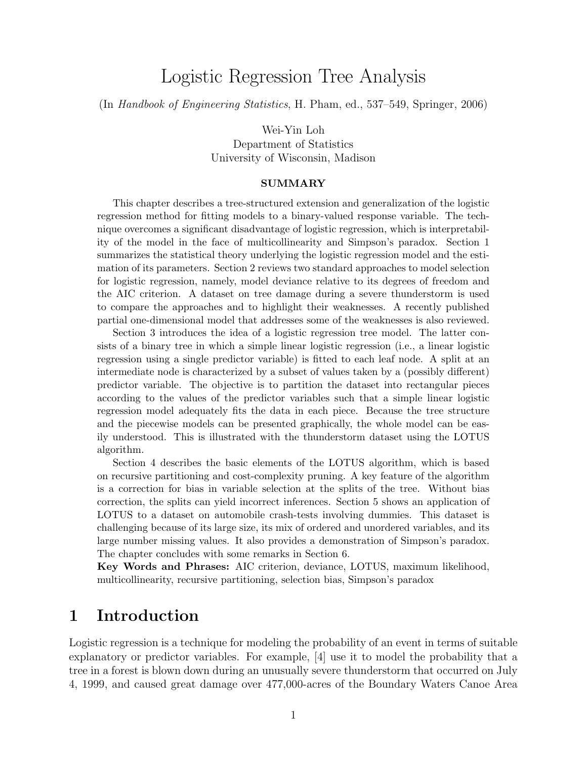# Logistic Regression Tree Analysis

(In Handbook of Engineering Statistics, H. Pham, ed., 537–549, Springer, 2006)

Wei-Yin Loh

Department of Statistics University of Wisconsin, Madison

#### SUMMARY

This chapter describes a tree-structured extension and generalization of the logistic regression method for fitting models to a binary-valued response variable. The technique overcomes a significant disadvantage of logistic regression, which is interpretability of the model in the face of multicollinearity and Simpson's paradox. Section 1 summarizes the statistical theory underlying the logistic regression model and the estimation of its parameters. Section 2 reviews two standard approaches to model selection for logistic regression, namely, model deviance relative to its degrees of freedom and the AIC criterion. A dataset on tree damage during a severe thunderstorm is used to compare the approaches and to highlight their weaknesses. A recently published partial one-dimensional model that addresses some of the weaknesses is also reviewed.

Section 3 introduces the idea of a logistic regression tree model. The latter consists of a binary tree in which a simple linear logistic regression (i.e., a linear logistic regression using a single predictor variable) is fitted to each leaf node. A split at an intermediate node is characterized by a subset of values taken by a (possibly different) predictor variable. The objective is to partition the dataset into rectangular pieces according to the values of the predictor variables such that a simple linear logistic regression model adequately fits the data in each piece. Because the tree structure and the piecewise models can be presented graphically, the whole model can be easily understood. This is illustrated with the thunderstorm dataset using the LOTUS algorithm.

Section 4 describes the basic elements of the LOTUS algorithm, which is based on recursive partitioning and cost-complexity pruning. A key feature of the algorithm is a correction for bias in variable selection at the splits of the tree. Without bias correction, the splits can yield incorrect inferences. Section 5 shows an application of LOTUS to a dataset on automobile crash-tests involving dummies. This dataset is challenging because of its large size, its mix of ordered and unordered variables, and its large number missing values. It also provides a demonstration of Simpson's paradox. The chapter concludes with some remarks in Section 6.

Key Words and Phrases: AIC criterion, deviance, LOTUS, maximum likelihood, multicollinearity, recursive partitioning, selection bias, Simpson's paradox

### 1 Introduction

Logistic regression is a technique for modeling the probability of an event in terms of suitable explanatory or predictor variables. For example, [4] use it to model the probability that a tree in a forest is blown down during an unusually severe thunderstorm that occurred on July 4, 1999, and caused great damage over 477,000-acres of the Boundary Waters Canoe Area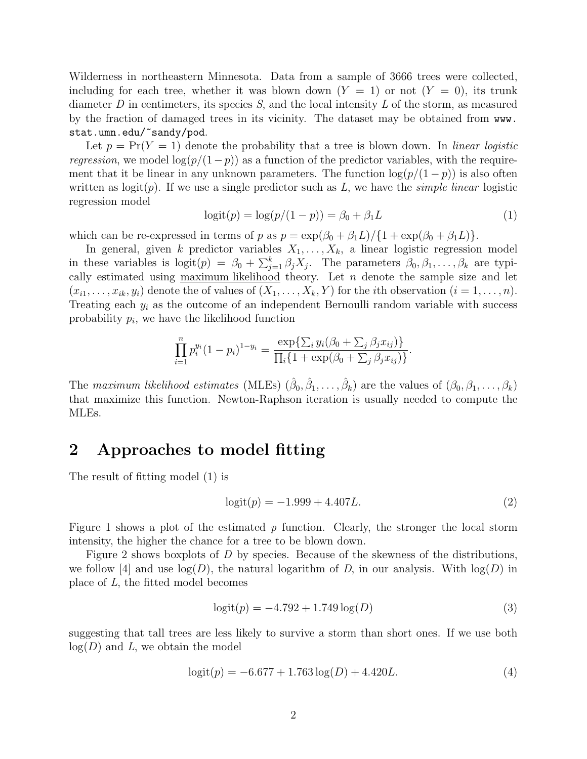Wilderness in northeastern Minnesota. Data from a sample of 3666 trees were collected, including for each tree, whether it was blown down  $(Y = 1)$  or not  $(Y = 0)$ , its trunk diameter  $D$  in centimeters, its species  $S$ , and the local intensity  $L$  of the storm, as measured by the fraction of damaged trees in its vicinity. The dataset may be obtained from www. stat.umn.edu/~sandy/pod.

Let  $p = Pr(Y = 1)$  denote the probability that a tree is blown down. In linear logistic regression, we model  $\log(p/(1-p))$  as a function of the predictor variables, with the requirement that it be linear in any unknown parameters. The function  $\log(p/(1-p))$  is also often written as  $logit(p)$ . If we use a single predictor such as L, we have the *simple linear* logistic regression model

$$
logit(p) = log(p/(1-p)) = \beta_0 + \beta_1 L \tag{1}
$$

which can be re-expressed in terms of p as  $p = \exp(\beta_0 + \beta_1 L)/\{1 + \exp(\beta_0 + \beta_1 L)\}.$ 

In general, given k predictor variables  $X_1, \ldots, X_k$ , a linear logistic regression model in these variables is  $logit(p) = \beta_0 + \sum_{j=1}^k \beta_j X_j$ . The parameters  $\beta_0, \beta_1, \ldots, \beta_k$  are typically estimated using  $\frac{\text{maximum likelihood}}{\text{likelihood}}$  theory. Let n denote the sample size and let  $(x_{i1}, \ldots, x_{ik}, y_i)$  denote the of values of  $(X_1, \ldots, X_k, Y)$  for the *i*th observation  $(i = 1, \ldots, n)$ . Treating each  $y_i$  as the outcome of an independent Bernoulli random variable with success probability  $p_i$ , we have the likelihood function

$$
\prod_{i=1}^n p_i^{y_i} (1-p_i)^{1-y_i} = \frac{\exp\{\sum_i y_i(\beta_0 + \sum_j \beta_j x_{ij})\}}{\prod_i \{1 + \exp(\beta_0 + \sum_j \beta_j x_{ij})\}}.
$$

The maximum likelihood estimates (MLEs)  $(\hat{\beta}_0, \hat{\beta}_1, \dots, \hat{\beta}_k)$  are the values of  $(\beta_0, \beta_1, \dots, \beta_k)$ that maximize this function. Newton-Raphson iteration is usually needed to compute the MLEs.

### 2 Approaches to model fitting

The result of fitting model (1) is

$$
logit(p) = -1.999 + 4.407L.
$$
\n(2)

Figure 1 shows a plot of the estimated  $p$  function. Clearly, the stronger the local storm intensity, the higher the chance for a tree to be blown down.

Figure 2 shows boxplots of  $D$  by species. Because of the skewness of the distributions, we follow [4] and use  $log(D)$ , the natural logarithm of D, in our analysis. With  $log(D)$  in place of L, the fitted model becomes

$$
logit(p) = -4.792 + 1.749 \log(D)
$$
\n(3)

suggesting that tall trees are less likely to survive a storm than short ones. If we use both  $log(D)$  and L, we obtain the model

$$
logit(p) = -6.677 + 1.763 \log(D) + 4.420L.
$$
 (4)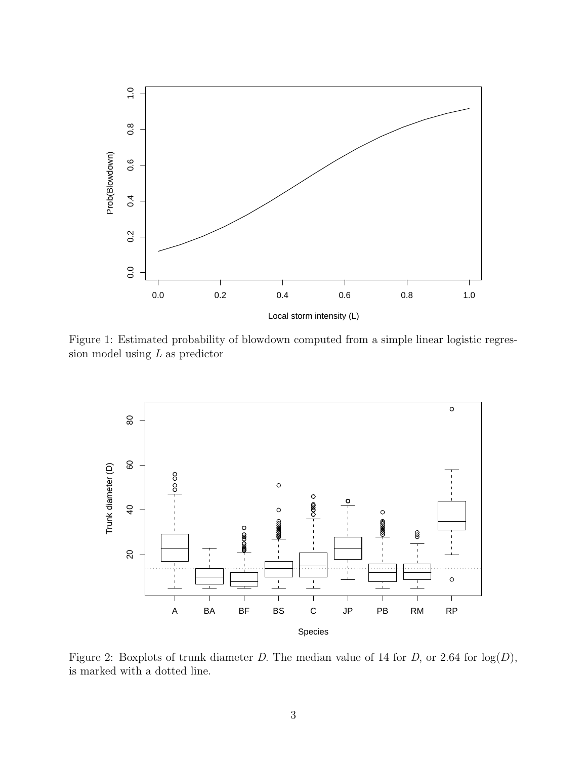

Figure 1: Estimated probability of blowdown computed from a simple linear logistic regression model using  $L$  as predictor



Figure 2: Boxplots of trunk diameter D. The median value of 14 for  $D$ , or 2.64 for  $log(D)$ , is marked with a dotted line.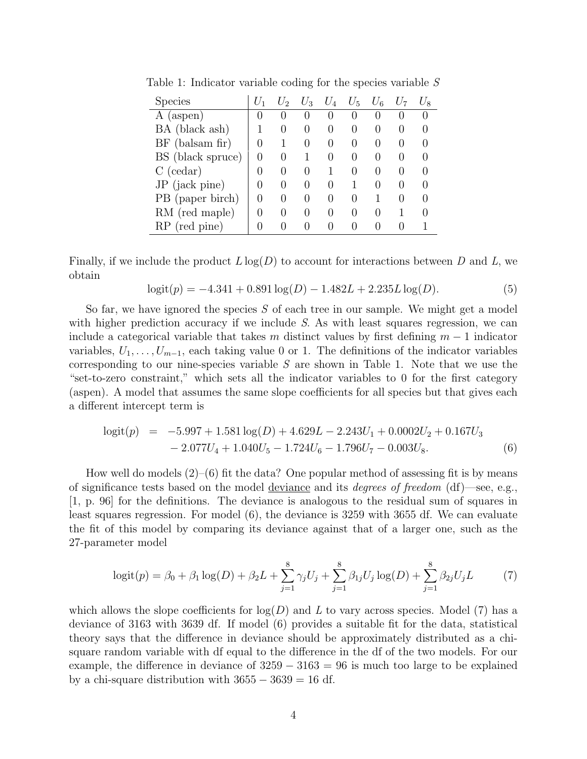| Species           |                  |                  | $U_3$            | $U_A$            | $U_{5}$          | $U_{\mathsf{G}}$ | U7               | $U_8$            |
|-------------------|------------------|------------------|------------------|------------------|------------------|------------------|------------------|------------------|
| A (aspen)         | $\left( \right)$ |                  |                  | $\left( \right)$ | $\left( \right)$ |                  |                  | $\left( \right)$ |
| BA (black ash)    |                  | $\left( \right)$ | $\left( \right)$ | $\left( \right)$ | $\mathcal{O}$    |                  | $\left( \right)$ |                  |
| $BF$ (balsam fir) | $\left( \right)$ |                  | $\cup$           | $\left( \right)$ | $\cup$           | $\left( \right)$ | $\cup$           | $\mathbf{0}$     |
| BS (black spruce) | 0                | $\left( \right)$ |                  | $\left( \right)$ | $\left( \right)$ | $\left( \right)$ | $\mathbf{0}$     |                  |
| $C$ (cedar)       | 0                | $\left( \right)$ | $\left( \right)$ |                  | $\mathcal{O}$    | $\mathbf{0}$     | $\left( \right)$ |                  |
| JP (jack pine)    | 0                | $\left( \right)$ | $\left( \right)$ | $\left( \right)$ |                  | $\mathbf{0}$     | $\mathbf{0}$     |                  |
| PB (paper birch)  | 0                | $\left( \right)$ | $\cup$           | $\left( \right)$ | $\left( \right)$ |                  | $\mathbf{0}$     |                  |
| RM (red maple)    | 0                | $\left( \right)$ | $\left( \right)$ | $\left( \right)$ | $\mathcal{O}$    | 0                |                  |                  |
| (red pine)        |                  | $\mathbf{I}$     |                  | $\mathbf{I}$     | $\mathbf{0}$     |                  |                  |                  |

Table 1: Indicator variable coding for the species variable S

Finally, if we include the product  $L \log(D)$  to account for interactions between D and L, we obtain

$$
logit(p) = -4.341 + 0.891 \log(D) - 1.482L + 2.235L \log(D). \tag{5}
$$

So far, we have ignored the species  $S$  of each tree in our sample. We might get a model with higher prediction accuracy if we include  $S$ . As with least squares regression, we can include a categorical variable that takes m distinct values by first defining  $m-1$  indicator variables,  $U_1, \ldots, U_{m-1}$ , each taking value 0 or 1. The definitions of the indicator variables corresponding to our nine-species variable  $S$  are shown in Table 1. Note that we use the "set-to-zero constraint," which sets all the indicator variables to 0 for the first category (aspen). A model that assumes the same slope coefficients for all species but that gives each a different intercept term is

$$
logit(p) = -5.997 + 1.581 log(D) + 4.629L - 2.243U1 + 0.0002U2 + 0.167U3- 2.077U4 + 1.040U5 - 1.724U6 - 1.796U7 - 0.003U8.
$$
 (6)

How well do models (2)–(6) fit the data? One popular method of assessing fit is by means of significance tests based on the model <u>deviance</u> and its *degrees of freedom* (df)—see, e.g., [1, p. 96] for the definitions. The deviance is analogous to the residual sum of squares in least squares regression. For model (6), the deviance is 3259 with 3655 df. We can evaluate the fit of this model by comparing its deviance against that of a larger one, such as the 27-parameter model

$$
logit(p) = \beta_0 + \beta_1 log(D) + \beta_2 L + \sum_{j=1}^{8} \gamma_j U_j + \sum_{j=1}^{8} \beta_{1j} U_j log(D) + \sum_{j=1}^{8} \beta_{2j} U_j L \tag{7}
$$

which allows the slope coefficients for  $log(D)$  and L to vary across species. Model (7) has a deviance of 3163 with 3639 df. If model (6) provides a suitable fit for the data, statistical theory says that the difference in deviance should be approximately distributed as a chisquare random variable with df equal to the difference in the df of the two models. For our example, the difference in deviance of  $3259 - 3163 = 96$  is much too large to be explained by a chi-square distribution with  $3655 - 3639 = 16$  df.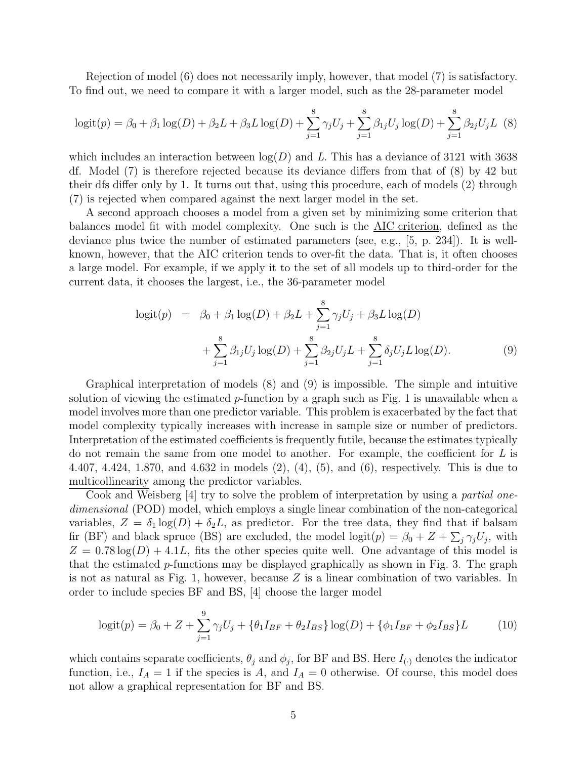Rejection of model (6) does not necessarily imply, however, that model (7) is satisfactory. To find out, we need to compare it with a larger model, such as the 28-parameter model

$$
logit(p) = \beta_0 + \beta_1 log(D) + \beta_2 L + \beta_3 L log(D) + \sum_{j=1}^{8} \gamma_j U_j + \sum_{j=1}^{8} \beta_{1j} U_j log(D) + \sum_{j=1}^{8} \beta_{2j} U_j L
$$
 (8)

which includes an interaction between  $log(D)$  and L. This has a deviance of 3121 with 3638 df. Model (7) is therefore rejected because its deviance differs from that of (8) by 42 but their dfs differ only by 1. It turns out that, using this procedure, each of models (2) through (7) is rejected when compared against the next larger model in the set.

A second approach chooses a model from a given set by minimizing some criterion that balances model fit with model complexity. One such is the AIC criterion, defined as the deviance plus twice the number of estimated parameters (see, e.g., [5, p. 234]). It is wellknown, however, that the AIC criterion tends to over-fit the data. That is, it often chooses a large model. For example, if we apply it to the set of all models up to third-order for the current data, it chooses the largest, i.e., the 36-parameter model

$$
logit(p) = \beta_0 + \beta_1 log(D) + \beta_2 L + \sum_{j=1}^{8} \gamma_j U_j + \beta_3 L log(D) + \sum_{j=1}^{8} \beta_{1j} U_j log(D) + \sum_{j=1}^{8} \beta_{2j} U_j L + \sum_{j=1}^{8} \delta_j U_j L log(D).
$$
 (9)

Graphical interpretation of models (8) and (9) is impossible. The simple and intuitive solution of viewing the estimated p-function by a graph such as Fig. 1 is unavailable when a model involves more than one predictor variable. This problem is exacerbated by the fact that model complexity typically increases with increase in sample size or number of predictors. Interpretation of the estimated coefficients is frequently futile, because the estimates typically do not remain the same from one model to another. For example, the coefficient for L is 4.407, 4.424, 1.870, and 4.632 in models (2), (4), (5), and (6), respectively. This is due to multicollinearity among the predictor variables.

Cook and Weisberg [4] try to solve the problem of interpretation by using a *partial one*dimensional (POD) model, which employs a single linear combination of the non-categorical variables,  $Z = \delta_1 \log(D) + \delta_2 L$ , as predictor. For the tree data, they find that if balsam fir (BF) and black spruce (BS) are excluded, the model  $logit(p) = \beta_0 + Z + \sum_j \gamma_j U_j$ , with  $Z = 0.78 \log(D) + 4.1L$ , fits the other species quite well. One advantage of this model is that the estimated p-functions may be displayed graphically as shown in Fig. 3. The graph is not as natural as Fig. 1, however, because  $Z$  is a linear combination of two variables. In order to include species BF and BS, [4] choose the larger model

$$
logit(p) = \beta_0 + Z + \sum_{j=1}^{9} \gamma_j U_j + \{\theta_1 I_{BF} + \theta_2 I_{BS}\} \log(D) + \{\phi_1 I_{BF} + \phi_2 I_{BS}\} L
$$
 (10)

which contains separate coefficients,  $\theta_j$  and  $\phi_j$ , for BF and BS. Here  $I_{(\cdot)}$  denotes the indicator function, i.e.,  $I_A = 1$  if the species is A, and  $I_A = 0$  otherwise. Of course, this model does not allow a graphical representation for BF and BS.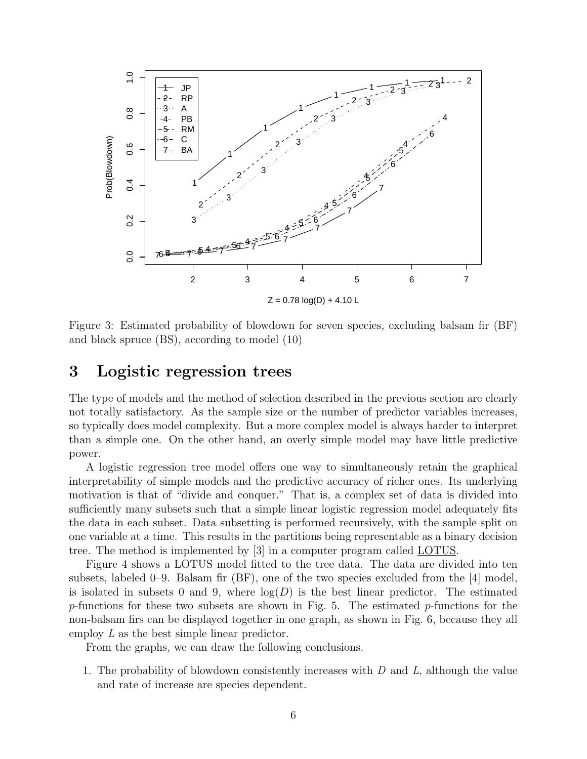

Figure 3: Estimated probability of blowdown for seven species, excluding balsam fir (BF) and black spruce (BS), according to model (10)

### 3 Logistic regression trees

The type of models and the method of selection described in the previous section are clearly not totally satisfactory. As the sample size or the number of predictor variables increases, so typically does model complexity. But a more complex model is always harder to interpret than a simple one. On the other hand, an overly simple model may have little predictive power.

A logistic regression tree model offers one way to simultaneously retain the graphical interpretability of simple models and the predictive accuracy of richer ones. Its underlying motivation is that of "divide and conquer." That is, a complex set of data is divided into sufficiently many subsets such that a simple linear logistic regression model adequately fits the data in each subset. Data subsetting is performed recursively, with the sample split on one variable at a time. This results in the partitions being representable as a binary decision tree. The method is implemented by [3] in a computer program called LOTUS.

Figure 4 shows a LOTUS model fitted to the tree data. The data are divided into ten subsets, labeled 0–9. Balsam fir  $(BF)$ , one of the two species excluded from the [4] model, is isolated in subsets 0 and 9, where  $log(D)$  is the best linear predictor. The estimated p-functions for these two subsets are shown in Fig. 5. The estimated p-functions for the non-balsam firs can be displayed together in one graph, as shown in Fig. 6, because they all employ L as the best simple linear predictor.

From the graphs, we can draw the following conclusions.

1. The probability of blowdown consistently increases with  $D$  and  $L$ , although the value and rate of increase are species dependent.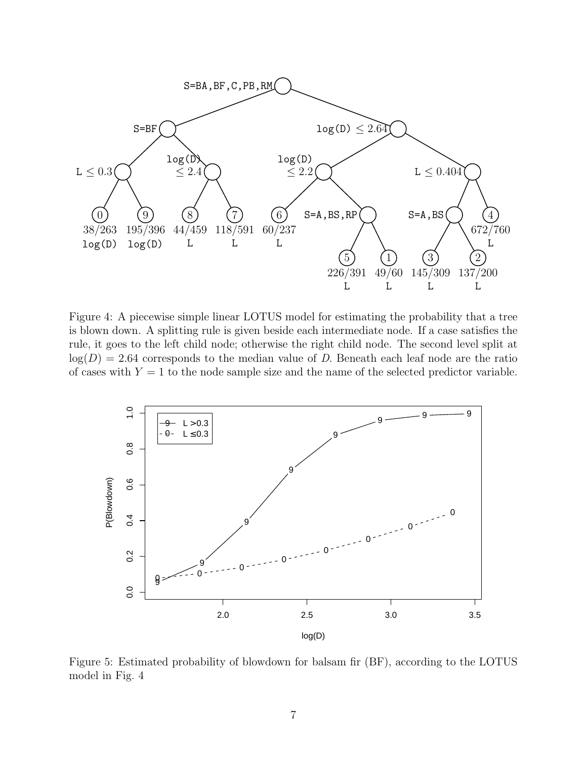

Figure 4: A piecewise simple linear LOTUS model for estimating the probability that a tree is blown down. A splitting rule is given beside each intermediate node. If a case satisfies the rule, it goes to the left child node; otherwise the right child node. The second level split at  $log(D) = 2.64$  corresponds to the median value of D. Beneath each leaf node are the ratio of cases with  $Y = 1$  to the node sample size and the name of the selected predictor variable.



Figure 5: Estimated probability of blowdown for balsam fir (BF), according to the LOTUS model in Fig. 4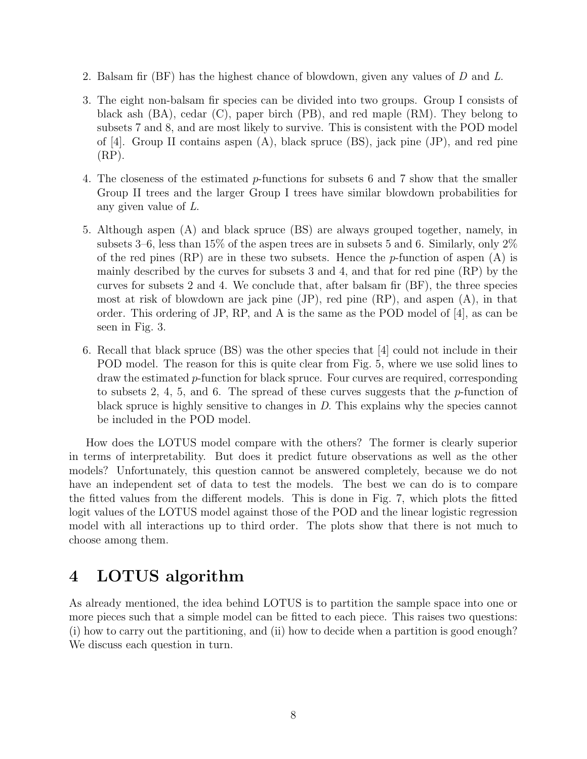- 2. Balsam fir (BF) has the highest chance of blowdown, given any values of D and L.
- 3. The eight non-balsam fir species can be divided into two groups. Group I consists of black ash (BA), cedar (C), paper birch (PB), and red maple (RM). They belong to subsets 7 and 8, and are most likely to survive. This is consistent with the POD model of [4]. Group II contains aspen (A), black spruce (BS), jack pine (JP), and red pine (RP).
- 4. The closeness of the estimated p-functions for subsets 6 and 7 show that the smaller Group II trees and the larger Group I trees have similar blowdown probabilities for any given value of L.
- 5. Although aspen (A) and black spruce (BS) are always grouped together, namely, in subsets 3–6, less than 15% of the aspen trees are in subsets 5 and 6. Similarly, only  $2\%$ of the red pines (RP) are in these two subsets. Hence the p-function of aspen (A) is mainly described by the curves for subsets 3 and 4, and that for red pine (RP) by the curves for subsets 2 and 4. We conclude that, after balsam fir (BF), the three species most at risk of blowdown are jack pine (JP), red pine (RP), and aspen (A), in that order. This ordering of JP, RP, and A is the same as the POD model of [4], as can be seen in Fig. 3.
- 6. Recall that black spruce (BS) was the other species that [4] could not include in their POD model. The reason for this is quite clear from Fig. 5, where we use solid lines to draw the estimated p-function for black spruce. Four curves are required, corresponding to subsets 2, 4, 5, and 6. The spread of these curves suggests that the p-function of black spruce is highly sensitive to changes in  $D$ . This explains why the species cannot be included in the POD model.

How does the LOTUS model compare with the others? The former is clearly superior in terms of interpretability. But does it predict future observations as well as the other models? Unfortunately, this question cannot be answered completely, because we do not have an independent set of data to test the models. The best we can do is to compare the fitted values from the different models. This is done in Fig. 7, which plots the fitted logit values of the LOTUS model against those of the POD and the linear logistic regression model with all interactions up to third order. The plots show that there is not much to choose among them.

## 4 LOTUS algorithm

As already mentioned, the idea behind LOTUS is to partition the sample space into one or more pieces such that a simple model can be fitted to each piece. This raises two questions: (i) how to carry out the partitioning, and (ii) how to decide when a partition is good enough? We discuss each question in turn.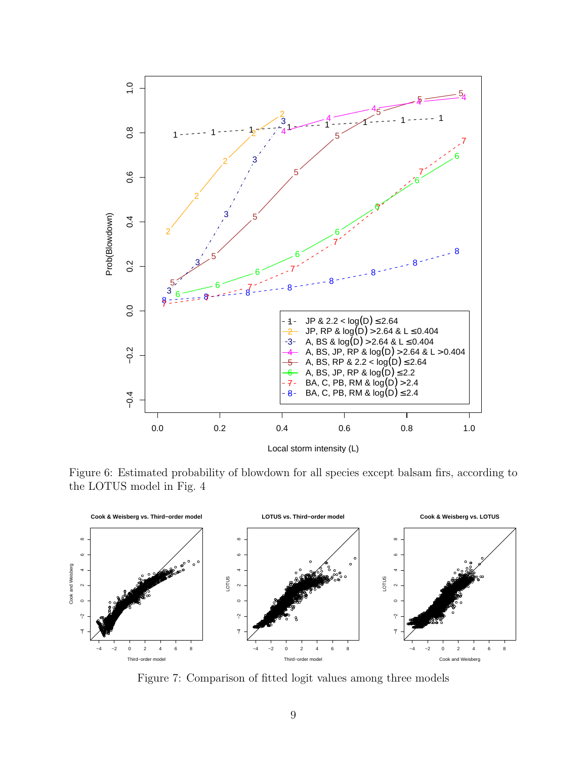

Figure 6: Estimated probability of blowdown for all species except balsam firs, according to the LOTUS model in Fig. 4



Figure 7: Comparison of fitted logit values among three models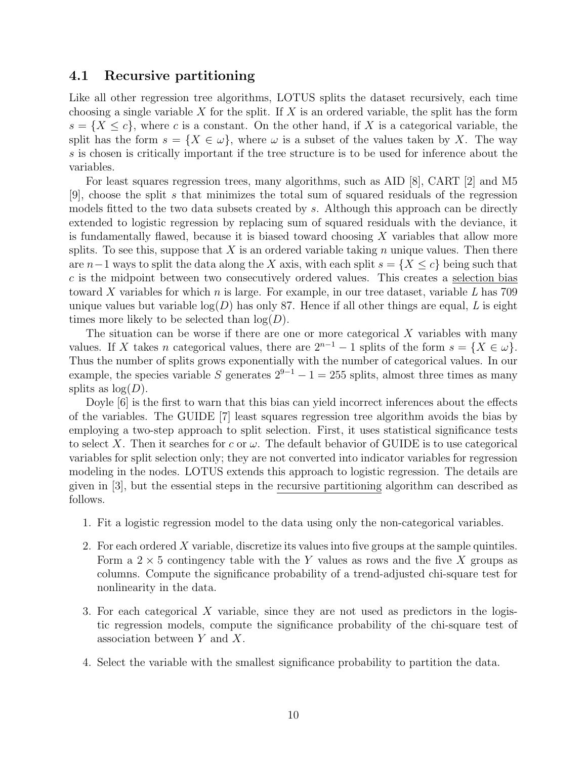### 4.1 Recursive partitioning

Like all other regression tree algorithms, LOTUS splits the dataset recursively, each time choosing a single variable  $X$  for the split. If  $X$  is an ordered variable, the split has the form  $s = \{X \leq c\}$ , where c is a constant. On the other hand, if X is a categorical variable, the split has the form  $s = \{X \in \omega\}$ , where  $\omega$  is a subset of the values taken by X. The way s is chosen is critically important if the tree structure is to be used for inference about the variables.

For least squares regression trees, many algorithms, such as AID [8], CART [2] and M5 [9], choose the split s that minimizes the total sum of squared residuals of the regression models fitted to the two data subsets created by s. Although this approach can be directly extended to logistic regression by replacing sum of squared residuals with the deviance, it is fundamentally flawed, because it is biased toward choosing  $X$  variables that allow more splits. To see this, suppose that X is an ordered variable taking n unique values. Then there are  $n-1$  ways to split the data along the X axis, with each split  $s = \{X \leq c\}$  being such that  $c$  is the midpoint between two consecutively ordered values. This creates a <u>selection bias</u> toward X variables for which n is large. For example, in our tree dataset, variable  $L$  has 709 unique values but variable  $log(D)$  has only 87. Hence if all other things are equal, L is eight times more likely to be selected than  $log(D)$ .

The situation can be worse if there are one or more categorical X variables with many values. If X takes n categorical values, there are  $2^{n-1} - 1$  splits of the form  $s = \{X \in \omega\}.$ Thus the number of splits grows exponentially with the number of categorical values. In our example, the species variable S generates  $2^{9-1} - 1 = 255$  splits, almost three times as many splits as  $log(D)$ .

Doyle [6] is the first to warn that this bias can yield incorrect inferences about the effects of the variables. The GUIDE [7] least squares regression tree algorithm avoids the bias by employing a two-step approach to split selection. First, it uses statistical significance tests to select X. Then it searches for c or  $\omega$ . The default behavior of GUIDE is to use categorical variables for split selection only; they are not converted into indicator variables for regression modeling in the nodes. LOTUS extends this approach to logistic regression. The details are given in [3], but the essential steps in the recursive partitioning algorithm can described as follows.

- 1. Fit a logistic regression model to the data using only the non-categorical variables.
- 2. For each ordered  $X$  variable, discretize its values into five groups at the sample quintiles. Form a  $2 \times 5$  contingency table with the Y values as rows and the five X groups as columns. Compute the significance probability of a trend-adjusted chi-square test for nonlinearity in the data.
- 3. For each categorical X variable, since they are not used as predictors in the logistic regression models, compute the significance probability of the chi-square test of association between Y and X.
- 4. Select the variable with the smallest significance probability to partition the data.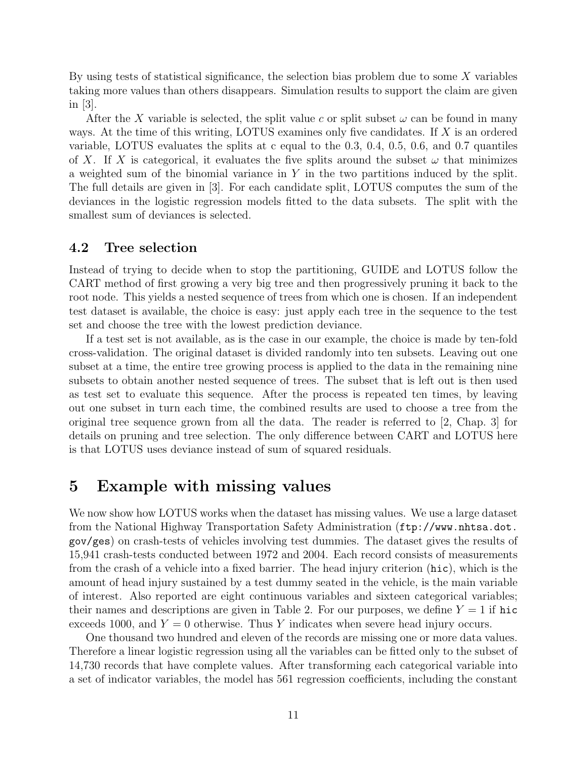By using tests of statistical significance, the selection bias problem due to some  $X$  variables taking more values than others disappears. Simulation results to support the claim are given in [3].

After the X variable is selected, the split value c or split subset  $\omega$  can be found in many ways. At the time of this writing, LOTUS examines only five candidates. If X is an ordered variable, LOTUS evaluates the splits at c equal to the 0.3, 0.4, 0.5, 0.6, and 0.7 quantiles of X. If X is categorical, it evaluates the five splits around the subset  $\omega$  that minimizes a weighted sum of the binomial variance in  $Y$  in the two partitions induced by the split. The full details are given in [3]. For each candidate split, LOTUS computes the sum of the deviances in the logistic regression models fitted to the data subsets. The split with the smallest sum of deviances is selected.

#### 4.2 Tree selection

Instead of trying to decide when to stop the partitioning, GUIDE and LOTUS follow the CART method of first growing a very big tree and then progressively pruning it back to the root node. This yields a nested sequence of trees from which one is chosen. If an independent test dataset is available, the choice is easy: just apply each tree in the sequence to the test set and choose the tree with the lowest prediction deviance.

If a test set is not available, as is the case in our example, the choice is made by ten-fold cross-validation. The original dataset is divided randomly into ten subsets. Leaving out one subset at a time, the entire tree growing process is applied to the data in the remaining nine subsets to obtain another nested sequence of trees. The subset that is left out is then used as test set to evaluate this sequence. After the process is repeated ten times, by leaving out one subset in turn each time, the combined results are used to choose a tree from the original tree sequence grown from all the data. The reader is referred to [2, Chap. 3] for details on pruning and tree selection. The only difference between CART and LOTUS here is that LOTUS uses deviance instead of sum of squared residuals.

### 5 Example with missing values

We now show how LOTUS works when the dataset has missing values. We use a large dataset from the National Highway Transportation Safety Administration (ftp://www.nhtsa.dot. gov/ges) on crash-tests of vehicles involving test dummies. The dataset gives the results of 15,941 crash-tests conducted between 1972 and 2004. Each record consists of measurements from the crash of a vehicle into a fixed barrier. The head injury criterion (hic), which is the amount of head injury sustained by a test dummy seated in the vehicle, is the main variable of interest. Also reported are eight continuous variables and sixteen categorical variables; their names and descriptions are given in Table 2. For our purposes, we define  $Y = 1$  if hic exceeds 1000, and  $Y = 0$  otherwise. Thus Y indicates when severe head injury occurs.

One thousand two hundred and eleven of the records are missing one or more data values. Therefore a linear logistic regression using all the variables can be fitted only to the subset of 14,730 records that have complete values. After transforming each categorical variable into a set of indicator variables, the model has 561 regression coefficients, including the constant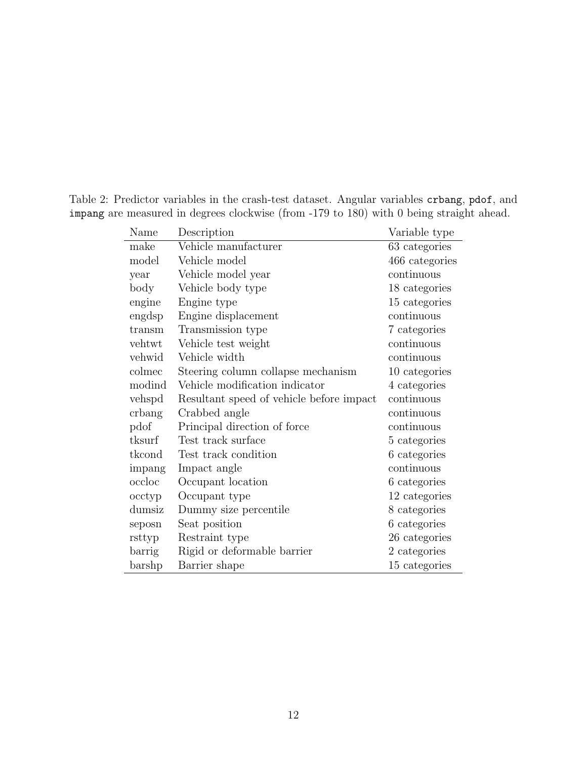| Name   | Description                              | Variable type  |
|--------|------------------------------------------|----------------|
| make   | Vehicle manufacturer                     | 63 categories  |
| model  | Vehicle model                            | 466 categories |
| year   | Vehicle model year                       | continuous     |
| body   | Vehicle body type                        | 18 categories  |
| engine | Engine type                              | 15 categories  |
| engdsp | Engine displacement                      | continuous     |
| transm | Transmission type                        | 7 categories   |
| vehtwt | Vehicle test weight                      | continuous     |
| vehwid | Vehicle width                            | continuous     |
| colmec | Steering column collapse mechanism       | 10 categories  |
| modind | Vehicle modification indicator           | 4 categories   |
| vehspd | Resultant speed of vehicle before impact | continuous     |
| crbang | Crabbed angle                            | continuous     |
| pdof   | Principal direction of force             | continuous     |
| tksurf | Test track surface                       | 5 categories   |
| tkcond | Test track condition                     | 6 categories   |
| impang | Impact angle                             | continuous     |
| occloc | Occupant location                        | 6 categories   |
| occtyp | Occupant type                            | 12 categories  |
| dumsiz | Dummy size percentile                    | 8 categories   |
| seposn | Seat position                            | 6 categories   |
| rsttyp | Restraint type                           | 26 categories  |
| barrig | Rigid or deformable barrier              | 2 categories   |
| barshp | Barrier shape                            | 15 categories  |

Table 2: Predictor variables in the crash-test dataset. Angular variables crbang, pdof, and impang are measured in degrees clockwise (from -179 to 180) with 0 being straight ahead.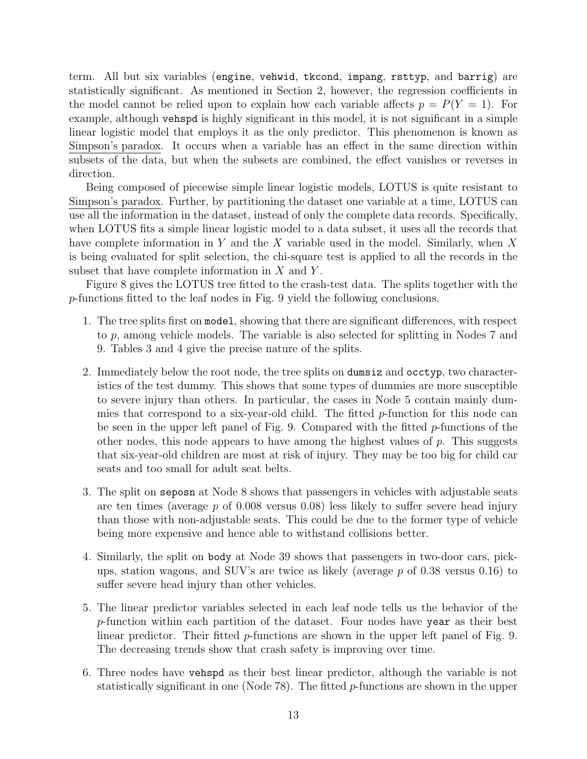term. All but six variables (engine, vehwid, tkcond, impang, rsttyp, and barrig) are statistically significant. As mentioned in Section 2, however, the regression coefficients in the model cannot be relied upon to explain how each variable affects  $p = P(Y = 1)$ . For example, although vehspd is highly significant in this model, it is not significant in a simple linear logistic model that employs it as the only predictor. This phenomenon is known as Simpson's paradox. It occurs when a variable has an effect in the same direction within subsets of the data, but when the subsets are combined, the effect vanishes or reverses in direction.

Being composed of piecewise simple linear logistic models, LOTUS is quite resistant to Simpson's paradox. Further, by partitioning the dataset one variable at a time, LOTUS can use all the information in the dataset, instead of only the complete data records. Specifically, when LOTUS fits a simple linear logistic model to a data subset, it uses all the records that have complete information in Y and the X variable used in the model. Similarly, when X is being evaluated for split selection, the chi-square test is applied to all the records in the subset that have complete information in  $X$  and  $Y$ .

Figure 8 gives the LOTUS tree fitted to the crash-test data. The splits together with the p-functions fitted to the leaf nodes in Fig. 9 yield the following conclusions.

- 1. The tree splits first on model, showing that there are significant differences, with respect to p, among vehicle models. The variable is also selected for splitting in Nodes 7 and 9. Tables 3 and 4 give the precise nature of the splits.
- 2. Immediately below the root node, the tree splits on dumsiz and occtyp, two characteristics of the test dummy. This shows that some types of dummies are more susceptible to severe injury than others. In particular, the cases in Node 5 contain mainly dummies that correspond to a six-year-old child. The fitted  $p$ -function for this node can be seen in the upper left panel of Fig. 9. Compared with the fitted  $p$ -functions of the other nodes, this node appears to have among the highest values of  $p$ . This suggests that six-year-old children are most at risk of injury. They may be too big for child car seats and too small for adult seat belts.
- 3. The split on seposn at Node 8 shows that passengers in vehicles with adjustable seats are ten times (average p of 0.008 versus 0.08) less likely to suffer severe head injury than those with non-adjustable seats. This could be due to the former type of vehicle being more expensive and hence able to withstand collisions better.
- 4. Similarly, the split on body at Node 39 shows that passengers in two-door cars, pickups, station wagons, and SUV's are twice as likely (average  $p$  of 0.38 versus 0.16) to suffer severe head injury than other vehicles.
- 5. The linear predictor variables selected in each leaf node tells us the behavior of the p-function within each partition of the dataset. Four nodes have year as their best linear predictor. Their fitted p-functions are shown in the upper left panel of Fig. 9. The decreasing trends show that crash safety is improving over time.
- 6. Three nodes have vehspd as their best linear predictor, although the variable is not statistically significant in one (Node 78). The fitted  $p$ -functions are shown in the upper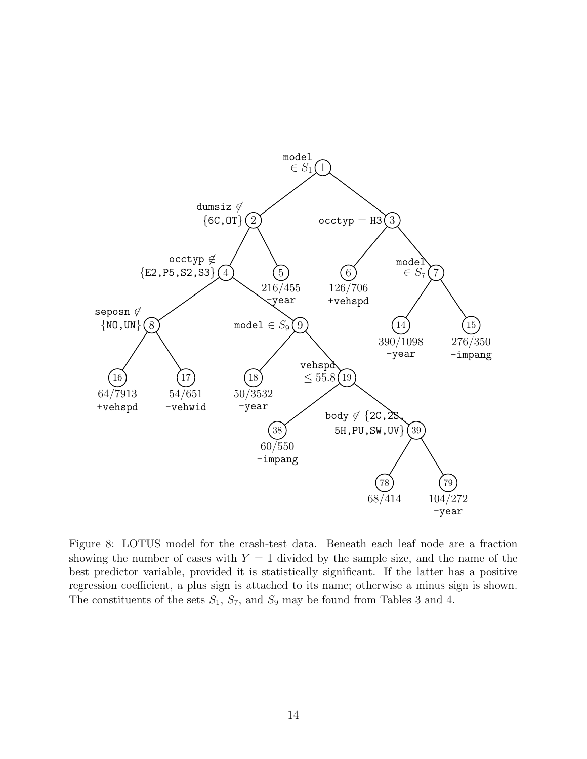

Figure 8: LOTUS model for the crash-test data. Beneath each leaf node are a fraction showing the number of cases with  $Y = 1$  divided by the sample size, and the name of the best predictor variable, provided it is statistically significant. If the latter has a positive regression coefficient, a plus sign is attached to its name; otherwise a minus sign is shown. The constituents of the sets  $S_1$ ,  $S_7$ , and  $S_9$  may be found from Tables 3 and 4.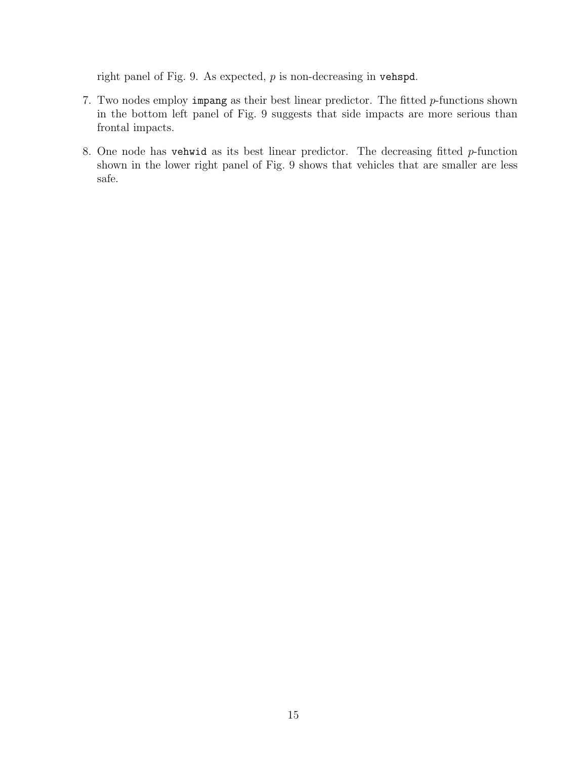right panel of Fig. 9. As expected, p is non-decreasing in vehspd.

- 7. Two nodes employ impang as their best linear predictor. The fitted p-functions shown in the bottom left panel of Fig. 9 suggests that side impacts are more serious than frontal impacts.
- 8. One node has vehwid as its best linear predictor. The decreasing fitted  $p$ -function shown in the lower right panel of Fig. 9 shows that vehicles that are smaller are less safe.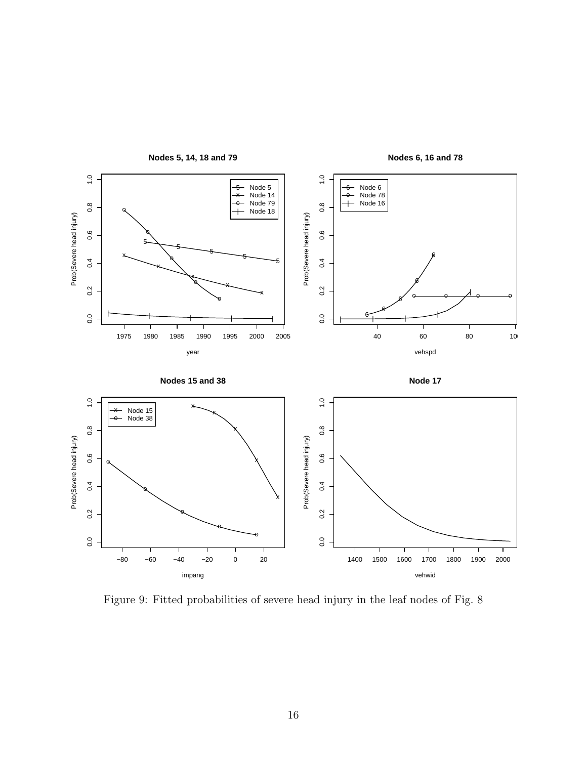

Figure 9: Fitted probabilities of severe head injury in the leaf nodes of Fig. 8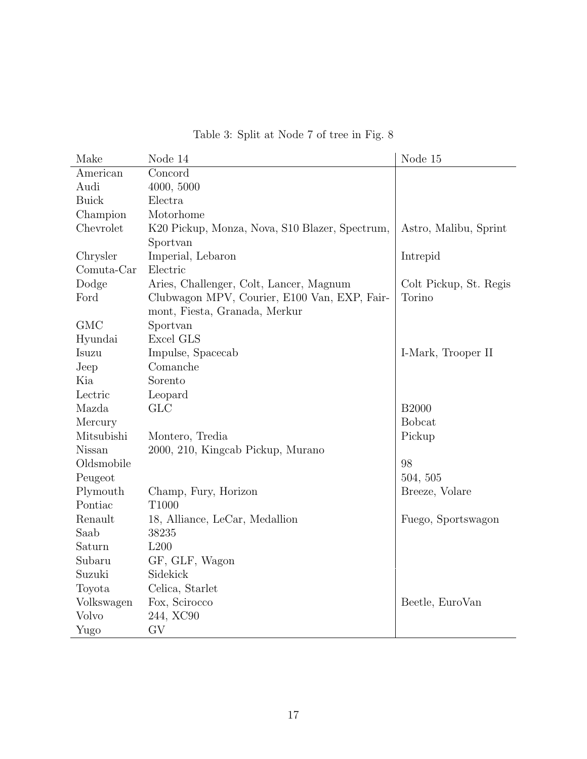| Table 3: Split at Node 7 of tree in Fig. 8 |  |  |  |  |  |
|--------------------------------------------|--|--|--|--|--|
|--------------------------------------------|--|--|--|--|--|

| Make          | Node 14                                        | Node 15                |
|---------------|------------------------------------------------|------------------------|
| American      | Concord                                        |                        |
| Audi          | 4000, 5000                                     |                        |
| <b>Buick</b>  | Electra                                        |                        |
| Champion      | Motorhome                                      |                        |
| Chevrolet     | K20 Pickup, Monza, Nova, S10 Blazer, Spectrum, | Astro, Malibu, Sprint  |
|               | Sportvan                                       |                        |
| Chrysler      | Imperial, Lebaron                              | Intrepid               |
| $Comuta-Car$  | Electric                                       |                        |
| Dodge         | Aries, Challenger, Colt, Lancer, Magnum        | Colt Pickup, St. Regis |
| Ford          | Clubwagon MPV, Courier, E100 Van, EXP, Fair-   | Torino                 |
|               | mont, Fiesta, Granada, Merkur                  |                        |
| <b>GMC</b>    | Sportvan                                       |                        |
| Hyundai       | Excel GLS                                      |                        |
| Isuzu         | Impulse, Spacecab                              | I-Mark, Trooper II     |
| Jeep          | Comanche                                       |                        |
| Kia           | Sorento                                        |                        |
| Lectric       | Leopard                                        |                        |
| Mazda         | <b>GLC</b>                                     | <b>B2000</b>           |
| Mercury       |                                                | <b>Bobcat</b>          |
| Mitsubishi    | Montero, Tredia                                | Pickup                 |
| <b>Nissan</b> | 2000, 210, Kingcab Pickup, Murano              |                        |
| Oldsmobile    |                                                | 98                     |
| Peugeot       |                                                | 504, 505               |
| Plymouth      | Champ, Fury, Horizon                           | Breeze, Volare         |
| Pontiac       | T1000                                          |                        |
| Renault       | 18, Alliance, LeCar, Medallion                 | Fuego, Sportswagon     |
| Saab          | 38235                                          |                        |
| Saturn        | L200                                           |                        |
| Subaru        | GF, GLF, Wagon                                 |                        |
| Suzuki        | Sidekick                                       |                        |
| Toyota        | Celica, Starlet                                |                        |
| Volkswagen    | Fox, Scirocco                                  | Beetle, EuroVan        |
| Volvo         | 244, XC90                                      |                        |
| Yugo          | $\mathrm{GV}$                                  |                        |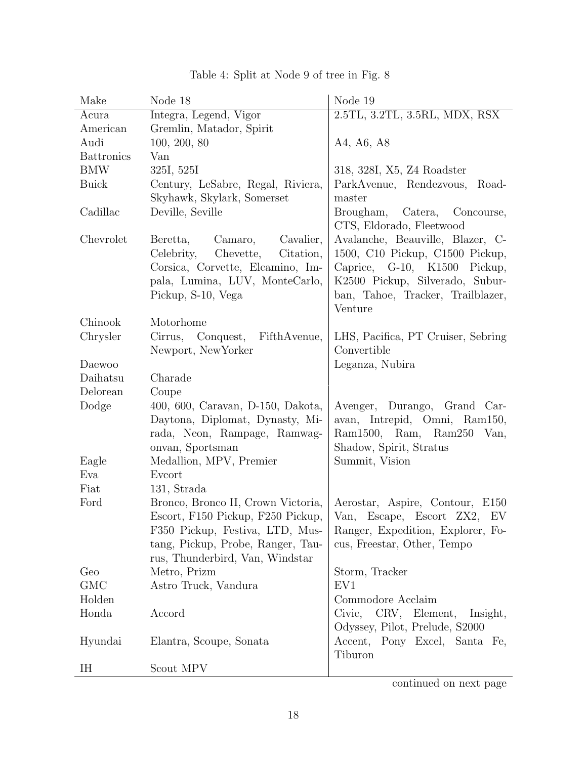| Make              | Node 18                              | Node 19                            |
|-------------------|--------------------------------------|------------------------------------|
| Acura             | Integra, Legend, $\overline{V}$ igor | 2.5TL, 3.2TL, 3.5RL, MDX, RSX      |
| American          | Gremlin, Matador, Spirit             |                                    |
| Audi              | 100, 200, 80                         | A4, A6, A8                         |
| <b>Battronics</b> | Van                                  |                                    |
| <b>BMW</b>        | 325I, 525I                           | 318, 328I, X5, Z4 Roadster         |
| <b>Buick</b>      | Century, LeSabre, Regal, Riviera,    | ParkAvenue, Rendezvous,<br>Road-   |
|                   | Skyhawk, Skylark, Somerset           | master                             |
| Cadillac          | Deville, Seville                     | Brougham, Catera, Concourse,       |
|                   |                                      | CTS, Eldorado, Fleetwood           |
| Chevrolet         | Beretta,<br>Camaro,<br>Cavalier,     | Avalanche, Beauville, Blazer, C-   |
|                   | Celebrity, Chevette,<br>Citation,    | 1500, C10 Pickup, C1500 Pickup,    |
|                   | Corsica, Corvette, Elcamino, Im-     | Caprice, G-10, K1500 Pickup,       |
|                   | pala, Lumina, LUV, MonteCarlo,       | K2500 Pickup, Silverado, Subur-    |
|                   | Pickup, S-10, Vega                   | ban, Tahoe, Tracker, Trailblazer,  |
|                   |                                      | Venture                            |
| Chinook           | Motorhome                            |                                    |
| Chrysler          | Cirrus, Conquest, FifthAvenue,       | LHS, Pacifica, PT Cruiser, Sebring |
|                   | Newport, NewYorker                   | Convertible                        |
| Daewoo            |                                      | Leganza, Nubira                    |
| Daihatsu          | Charade                              |                                    |
| Delorean          | Coupe                                |                                    |
| Dodge             | 400, 600, Caravan, D-150, Dakota,    | Avenger, Durango, Grand Car-       |
|                   | Daytona, Diplomat, Dynasty, Mi-      | avan, Intrepid, Omni, Ram150,      |
|                   | rada, Neon, Rampage, Ramwag-         | Ram1500, Ram, Ram250 Van,          |
|                   | onvan, Sportsman                     | Shadow, Spirit, Stratus            |
| Eagle             | Medallion, MPV, Premier              | Summit, Vision                     |
| Eva               | Evcort                               |                                    |
| Fiat              | 131, Strada                          |                                    |
| Ford              | Bronco, Bronco II, Crown Victoria,   | Aerostar, Aspire, Contour, E150    |
|                   | Escort, F150 Pickup, F250 Pickup,    | Van, Escape, Escort ZX2,<br>EV     |
|                   | F350 Pickup, Festiva, LTD, Mus-      | Ranger, Expedition, Explorer, Fo-  |
|                   | tang, Pickup, Probe, Ranger, Tau-    | cus, Freestar, Other, Tempo        |
|                   | rus, Thunderbird, Van, Windstar      |                                    |
| Geo               | Metro, Prizm                         | Storm, Tracker                     |
| <b>GMC</b>        | Astro Truck, Vandura                 | EV1                                |
| Holden            |                                      | Commodore Acclaim                  |
| Honda             | Accord                               | Civic, CRV, Element,<br>Insight,   |
|                   |                                      | Odyssey, Pilot, Prelude, S2000     |
| Hyundai           | Elantra, Scoupe, Sonata              | Accent, Pony Excel, Santa Fe,      |
|                   |                                      | Tiburon                            |
| IH                | Scout MPV                            |                                    |

Table 4: Split at Node 9 of tree in Fig. 8

continued on next page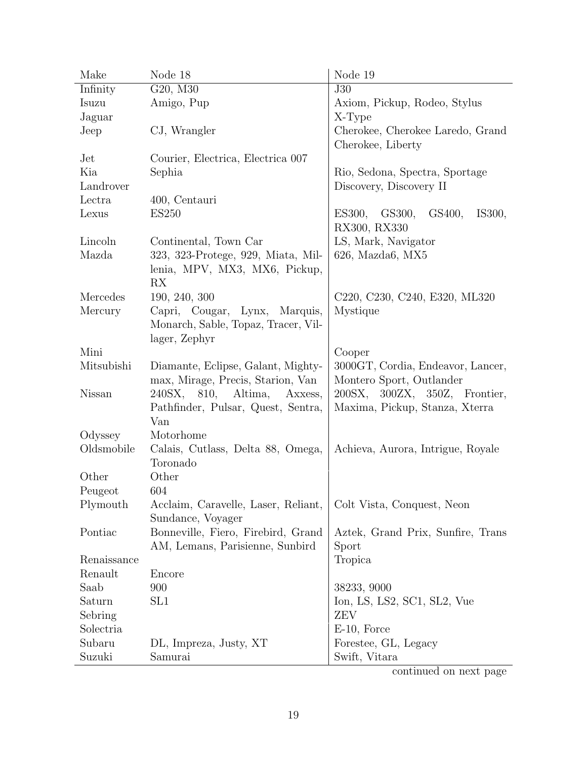| Make          | Node 18                             | Node 19                              |
|---------------|-------------------------------------|--------------------------------------|
| Infinity      | G20, M30                            | J30                                  |
| Isuzu         | Amigo, Pup                          | Axiom, Pickup, Rodeo, Stylus         |
| Jaguar        |                                     | X-Type                               |
| Jeep          | CJ, Wrangler                        | Cherokee, Cherokee Laredo, Grand     |
|               |                                     | Cherokee, Liberty                    |
| Jet           | Courier, Electrica, Electrica 007   |                                      |
| Kia           | Sephia                              | Rio, Sedona, Spectra, Sportage       |
| Landrover     |                                     | Discovery, Discovery II              |
| Lectra        | 400, Centauri                       |                                      |
| Lexus         | <b>ES250</b>                        | ES300,<br>GS300,<br>GS400,<br>IS300, |
|               |                                     | RX300, RX330                         |
| Lincoln       | Continental, Town Car               | LS, Mark, Navigator                  |
| Mazda         | 323, 323-Protege, 929, Miata, Mil-  | 626, Mazda6, MX5                     |
|               | lenia, MPV, MX3, MX6, Pickup,       |                                      |
|               | RX                                  |                                      |
| Mercedes      | 190, 240, 300                       | C220, C230, C240, E320, ML320        |
| Mercury       | Capri, Cougar, Lynx, Marquis,       | Mystique                             |
|               | Monarch, Sable, Topaz, Tracer, Vil- |                                      |
|               | lager, Zephyr                       |                                      |
| Mini          |                                     | Cooper                               |
| Mitsubishi    | Diamante, Eclipse, Galant, Mighty-  | 3000GT, Cordia, Endeavor, Lancer,    |
|               | max, Mirage, Precis, Starion, Van   | Montero Sport, Outlander             |
| <b>Nissan</b> | 240SX, 810, Altima,<br>Axxess,      | 200SX, 300ZX, 350Z, Frontier,        |
|               | Pathfinder, Pulsar, Quest, Sentra,  | Maxima, Pickup, Stanza, Xterra       |
|               | Van                                 |                                      |
| Odyssey       | Motorhome                           |                                      |
| Oldsmobile    | Calais, Cutlass, Delta 88, Omega,   | Achieva, Aurora, Intrigue, Royale    |
|               | Toronado                            |                                      |
| Other         | Other                               |                                      |
| Peugeot       | 604                                 |                                      |
| Plymouth      | Acclaim, Caravelle, Laser, Reliant, | Colt Vista, Conquest, Neon           |
|               | Sundance, Voyager                   |                                      |
| Pontiac       | Bonneville, Fiero, Firebird, Grand  | Aztek, Grand Prix, Sunfire, Trans    |
|               | AM, Lemans, Parisienne, Sunbird     | Sport                                |
| Renaissance   |                                     | Tropica                              |
| Renault       | Encore                              |                                      |
| Saab          | 900                                 | 38233, 9000                          |
| Saturn        | SL1                                 | Ion, LS, LS2, SC1, SL2, Vue          |
| Sebring       |                                     | <b>ZEV</b>                           |
| Solectria     |                                     | $E-10$ , Force                       |
| Subaru        | DL, Impreza, Justy, XT              | Forestee, GL, Legacy                 |
| Suzuki        | Samurai                             | Swift, Vitara                        |

continued on next page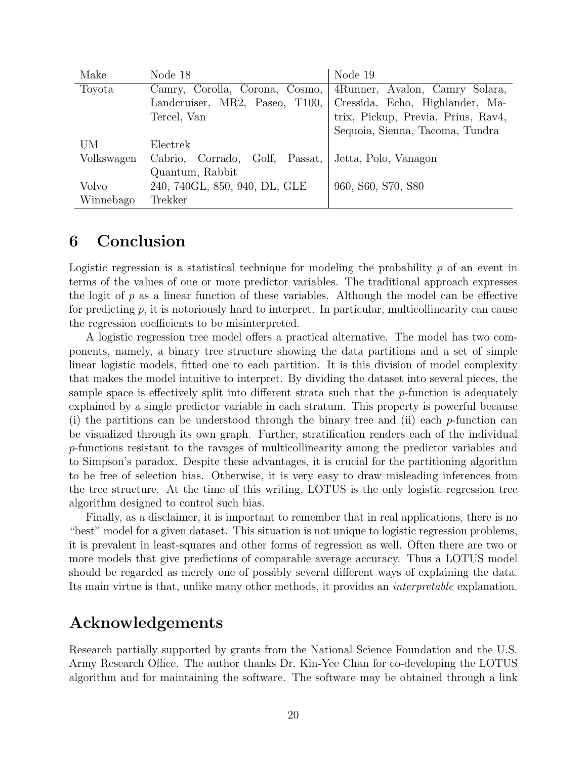| Make       | Node 18                              | Node 19                            |
|------------|--------------------------------------|------------------------------------|
| Toyota     | Camry, Corolla, Corona, Cosmo,       | 4Runner, Avalon, Camry Solara,     |
|            | Landcruiser, MR2, Paseo, T100,       | Cressida, Echo, Highlander, Ma-    |
|            | Tercel, Van                          | trix, Pickup, Previa, Prius, Rav4, |
|            |                                      | Sequoia, Sienna, Tacoma, Tundra    |
| UM         | Electrek                             |                                    |
| Volkswagen | Golf,<br>Cabrio, Corrado,<br>Passat, | Jetta, Polo, Vanagon               |
|            | Quantum, Rabbit                      |                                    |
| Volvo      | 240, 740GL, 850, 940, DL, GLE        | 960, S60, S70, S80                 |
| Winnebago  | Trekker                              |                                    |

### 6 Conclusion

Logistic regression is a statistical technique for modeling the probability  $p$  of an event in terms of the values of one or more predictor variables. The traditional approach expresses the logit of p as a linear function of these variables. Although the model can be effective for predicting  $p$ , it is notoriously hard to interpret. In particular, multicollinearity can cause the regression coefficients to be misinterpreted.

A logistic regression tree model offers a practical alternative. The model has two components, namely, a binary tree structure showing the data partitions and a set of simple linear logistic models, fitted one to each partition. It is this division of model complexity that makes the model intuitive to interpret. By dividing the dataset into several pieces, the sample space is effectively split into different strata such that the  $p$ -function is adequately explained by a single predictor variable in each stratum. This property is powerful because (i) the partitions can be understood through the binary tree and (ii) each  $p$ -function can be visualized through its own graph. Further, stratification renders each of the individual p-functions resistant to the ravages of multicollinearity among the predictor variables and to Simpson's paradox. Despite these advantages, it is crucial for the partitioning algorithm to be free of selection bias. Otherwise, it is very easy to draw misleading inferences from the tree structure. At the time of this writing, LOTUS is the only logistic regression tree algorithm designed to control such bias.

Finally, as a disclaimer, it is important to remember that in real applications, there is no "best" model for a given dataset. This situation is not unique to logistic regression problems; it is prevalent in least-squares and other forms of regression as well. Often there are two or more models that give predictions of comparable average accuracy. Thus a LOTUS model should be regarded as merely one of possibly several different ways of explaining the data. Its main virtue is that, unlike many other methods, it provides an interpretable explanation.

### Acknowledgements

Research partially supported by grants from the National Science Foundation and the U.S. Army Research Office. The author thanks Dr. Kin-Yee Chan for co-developing the LOTUS algorithm and for maintaining the software. The software may be obtained through a link